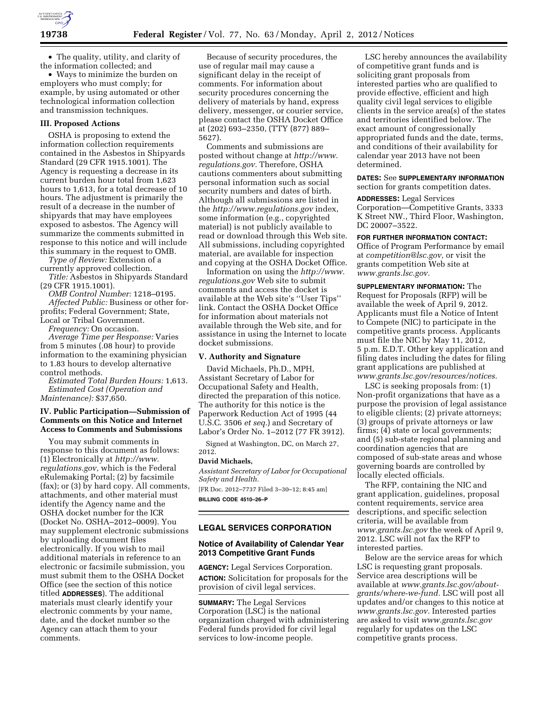

• The quality, utility, and clarity of the information collected; and

• Ways to minimize the burden on employers who must comply; for example, by using automated or other technological information collection and transmission techniques.

#### **III. Proposed Actions**

OSHA is proposing to extend the information collection requirements contained in the Asbestos in Shipyards Standard (29 CFR 1915.1001). The Agency is requesting a decrease in its current burden hour total from 1,623 hours to 1,613, for a total decrease of 10 hours. The adjustment is primarily the result of a decrease in the number of shipyards that may have employees exposed to asbestos. The Agency will summarize the comments submitted in response to this notice and will include this summary in the request to OMB.

*Type of Review:* Extension of a currently approved collection.

*Title:* Asbestos in Shipyards Standard (29 CFR 1915.1001).

*OMB Control Number:* 1218–0195. *Affected Public:* Business or other forprofits; Federal Government; State, Local or Tribal Government.

*Frequency:* On occasion.

*Average Time per Response:* Varies from 5 minutes (.08 hour) to provide information to the examining physician to 1.83 hours to develop alternative control methods.

*Estimated Total Burden Hours:* 1,613. *Estimated Cost (Operation and Maintenance):* \$37,650.

## **IV. Public Participation—Submission of Comments on this Notice and Internet Access to Comments and Submissions**

You may submit comments in response to this document as follows: (1) Electronically at *[http://www.](http://www.regulations.gov) [regulations.gov,](http://www.regulations.gov)* which is the Federal eRulemaking Portal; (2) by facsimile (fax); or (3) by hard copy. All comments, attachments, and other material must identify the Agency name and the OSHA docket number for the ICR (Docket No. OSHA–2012–0009). You may supplement electronic submissions by uploading document files electronically. If you wish to mail additional materials in reference to an electronic or facsimile submission, you must submit them to the OSHA Docket Office (see the section of this notice titled **ADDRESSES**). The additional materials must clearly identify your electronic comments by your name, date, and the docket number so the Agency can attach them to your comments.

Because of security procedures, the use of regular mail may cause a significant delay in the receipt of comments. For information about security procedures concerning the delivery of materials by hand, express delivery, messenger, or courier service, please contact the OSHA Docket Office at (202) 693–2350, (TTY (877) 889– 5627).

Comments and submissions are posted without change at *[http://www.](http://www.regulations.gov) [regulations.gov.](http://www.regulations.gov)* Therefore, OSHA cautions commenters about submitting personal information such as social security numbers and dates of birth. Although all submissions are listed in the *<http://www.regulations.gov>*index, some information (e.g., copyrighted material) is not publicly available to read or download through this Web site. All submissions, including copyrighted material, are available for inspection and copying at the OSHA Docket Office.

Information on using the *[http://www.](http://www.regulations.gov) [regulations.gov](http://www.regulations.gov)* Web site to submit comments and access the docket is available at the Web site's ''User Tips'' link. Contact the OSHA Docket Office for information about materials not available through the Web site, and for assistance in using the Internet to locate docket submissions.

# **V. Authority and Signature**

David Michaels, Ph.D., MPH, Assistant Secretary of Labor for Occupational Safety and Health, directed the preparation of this notice. The authority for this notice is the Paperwork Reduction Act of 1995 (44 U.S.C. 3506 *et seq.*) and Secretary of Labor's Order No. 1–2012 (77 FR 3912).

Signed at Washington, DC, on March 27, 2012.

#### **David Michaels,**

*Assistant Secretary of Labor for Occupational Safety and Health.* 

[FR Doc. 2012–7737 Filed 3–30–12; 8:45 am] **BILLING CODE 4510–26–P** 

#### **LEGAL SERVICES CORPORATION**

### **Notice of Availability of Calendar Year 2013 Competitive Grant Funds**

**AGENCY:** Legal Services Corporation. **ACTION:** Solicitation for proposals for the provision of civil legal services.

**SUMMARY:** The Legal Services Corporation (LSC) is the national organization charged with administering Federal funds provided for civil legal services to low-income people.

LSC hereby announces the availability of competitive grant funds and is soliciting grant proposals from interested parties who are qualified to provide effective, efficient and high quality civil legal services to eligible clients in the service area(s) of the states and territories identified below. The exact amount of congressionally appropriated funds and the date, terms, and conditions of their availability for calendar year 2013 have not been determined.

**DATES:** See **SUPPLEMENTARY INFORMATION** section for grants competition dates.

**ADDRESSES:** Legal Services Corporation—Competitive Grants, 3333 K Street NW., Third Floor, Washington, DC 20007–3522.

**FOR FURTHER INFORMATION CONTACT:**  Office of Program Performance by email at *[competition@lsc.gov,](mailto:competition@lsc.gov)* or visit the grants competition Web site at *[www.grants.lsc.gov.](http://www.grants.lsc.gov)* 

**SUPPLEMENTARY INFORMATION:** The Request for Proposals (RFP) will be available the week of April 9, 2012. Applicants must file a Notice of Intent to Compete (NIC) to participate in the competitive grants process. Applicants must file the NIC by May 11, 2012, 5 p.m. E.D.T. Other key application and filing dates including the dates for filing grant applications are published at *[www.grants.lsc.gov/resources/notices.](http://www.grants.lsc.gov/resources/notices)* 

LSC is seeking proposals from: (1) Non-profit organizations that have as a purpose the provision of legal assistance to eligible clients; (2) private attorneys; (3) groups of private attorneys or law firms; (4) state or local governments; and (5) sub-state regional planning and coordination agencies that are composed of sub-state areas and whose governing boards are controlled by locally elected officials.

The RFP, containing the NIC and grant application, guidelines, proposal content requirements, service area descriptions, and specific selection criteria, will be available from *[www.grants.lsc.gov](http://www.grants.lsc.gov)* the week of April 9, 2012. LSC will not fax the RFP to interested parties.

Below are the service areas for which LSC is requesting grant proposals. Service area descriptions will be available at *[www.grants.lsc.gov/about](http://www.grants.lsc.gov/about-grants/where-we-fund)[grants/where-we-fund.](http://www.grants.lsc.gov/about-grants/where-we-fund)* LSC will post all updates and/or changes to this notice at *[www.grants.lsc.gov.](http://www.grants.lsc.gov)* Interested parties are asked to visit *[www.grants.lsc.gov](http://www.grants.lsc.gov)*  regularly for updates on the LSC competitive grants process.